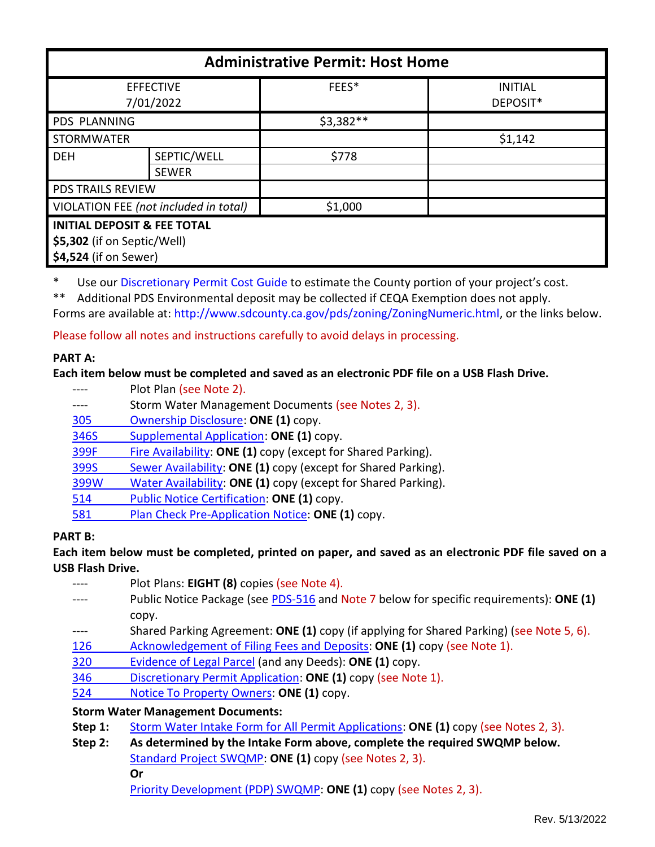| <b>Administrative Permit: Host Home</b>                                                        |              |            |                            |  |
|------------------------------------------------------------------------------------------------|--------------|------------|----------------------------|--|
| <b>EFFECTIVE</b><br>7/01/2022                                                                  |              | FEES*      | <b>INITIAL</b><br>DEPOSIT* |  |
| <b>PDS PLANNING</b>                                                                            |              | $$3,382**$ |                            |  |
| <b>STORMWATER</b>                                                                              |              |            | \$1,142                    |  |
| <b>DEH</b>                                                                                     | SEPTIC/WELL  | \$778      |                            |  |
|                                                                                                | <b>SEWER</b> |            |                            |  |
| <b>PDS TRAILS REVIEW</b>                                                                       |              |            |                            |  |
| VIOLATION FEE (not included in total)                                                          |              | \$1,000    |                            |  |
| <b>INITIAL DEPOSIT &amp; FEE TOTAL</b><br>\$5,302 (if on Septic/Well)<br>\$4,524 (if on Sewer) |              |            |                            |  |

\* Use ou[r Discretionary Permit Cost Guide](http://www.sandiegocounty.gov/content/dam/sdc/pds/docs/Discretionary_Permit_Cost_Guide.xlsx) to estimate the County portion of your project's cost.

\*\* Additional PDS Environmental deposit may be collected if CEQA Exemption does not apply.

Forms are available at[: http://www.sdcounty.ca.gov/pds/zoning/ZoningNumeric.html,](http://www.sdcounty.ca.gov/pds/zoning/ZoningNumeric.html) or the links below.

Please follow all notes and instructions carefully to avoid delays in processing.

## **PART A:**

# **Each item below must be completed and saved as an electronic PDF file on a USB Flash Drive.**

- ---- Plot Plan (see Note 2).
- ---- Storm Water Management Documents (see Notes 2, 3).
- [305 Ownership Disclosure:](https://www.sandiegocounty.gov/content/dam/sdc/pds/zoning/formfields/PDS-PLN-305.pdf) **ONE (1)** copy.
- 346S [Supplemental Application:](https://www.sandiegocounty.gov/content/dam/sdc/pds/zoning/formfields/PDS-PLN-346S.pdf) **ONE (1)** copy.
- [399F Fire Availability:](https://www.sandiegocounty.gov/content/dam/sdc/pds/zoning/formfields/PDS-PLN-399F.pdf) **ONE (1)** copy (except for Shared Parking).
- 399S [Sewer Availability:](https://www.sandiegocounty.gov/content/dam/sdc/pds/zoning/formfields/PDS-PLN-399S.pdf) **ONE (1)** copy (except for Shared Parking).
- [399W Water Availability:](https://www.sandiegocounty.gov/content/dam/sdc/pds/zoning/formfields/PDS-PLN-399W.pdf) **ONE (1)** copy (except for Shared Parking).
- 514 [Public Notice Certification:](https://www.sandiegocounty.gov/content/dam/sdc/pds/zoning/formfields/PDS-PLN-514.pdf) **ONE (1)** copy.
- 581 [Plan Check Pre-Application Notice:](https://www.sandiegocounty.gov/content/dam/sdc/pds/zoning/formfields/PDS-PLN-581.pdf) **ONE (1)** copy.

# **PART B:**

**Each item below must be completed, printed on paper, and saved as an electronic PDF file saved on a USB Flash Drive.**

- ---- Plot Plans: **EIGHT (8)** copies (see Note 4).
- ---- Public Notice Package (see [PDS-516](https://www.sandiegocounty.gov/pds/zoning/formfields/PDS-PLN-516.pdf) and Note 7 below for specific requirements): **ONE (1)** copy.
- ---- Shared Parking Agreement: **ONE (1)** copy (if applying for Shared Parking) (see Note 5, 6).
- [126 Acknowledgement of Filing Fees and Deposits:](https://www.sandiegocounty.gov/content/dam/sdc/pds/zoning/formfields/PDS-PLN-126.pdf) **ONE (1)** copy (see Note 1).
- 320 [Evidence of Legal Parcel](https://www.sandiegocounty.gov/content/dam/sdc/pds/zoning/formfields/PDS-PLN-320.pdf) (and any Deeds): **ONE (1)** copy.
- 346 [Discretionary Permit Application:](https://www.sandiegocounty.gov/content/dam/sdc/pds/zoning/formfields/PDS-PLN-346.pdf) **ONE (1)** copy (see Note 1).
- 524 [Notice To Property Owners:](https://www.sandiegocounty.gov/content/dam/sdc/pds/zoning/formfields/PDS-PLN-524.pdf) **ONE (1)** copy.

# **Storm Water Management Documents:**

- **Step 1:** [Storm Water Intake Form for All Permit Applications:](http://www.sandiegocounty.gov/content/dam/sdc/pds/zoning/formfields/SWQMP-Intake-Form.pdf) **ONE (1)** copy (see Notes 2, 3).
- **Step 2: As determined by the Intake Form above, complete the required SWQMP below.** [Standard Project SWQMP:](http://www.sandiegocounty.gov/content/dam/sdc/pds/zoning/formfields/SWQMP-Standard.pdf) **ONE (1)** copy (see Notes 2, 3). **Or**

Priority [Development \(PDP\) SWQMP:](https://www.sandiegocounty.gov/content/sdc/dpw/watersheds/DevelopmentandConstruction/BMP_Design_Manual.html) **ONE (1)** copy (see Notes 2, 3).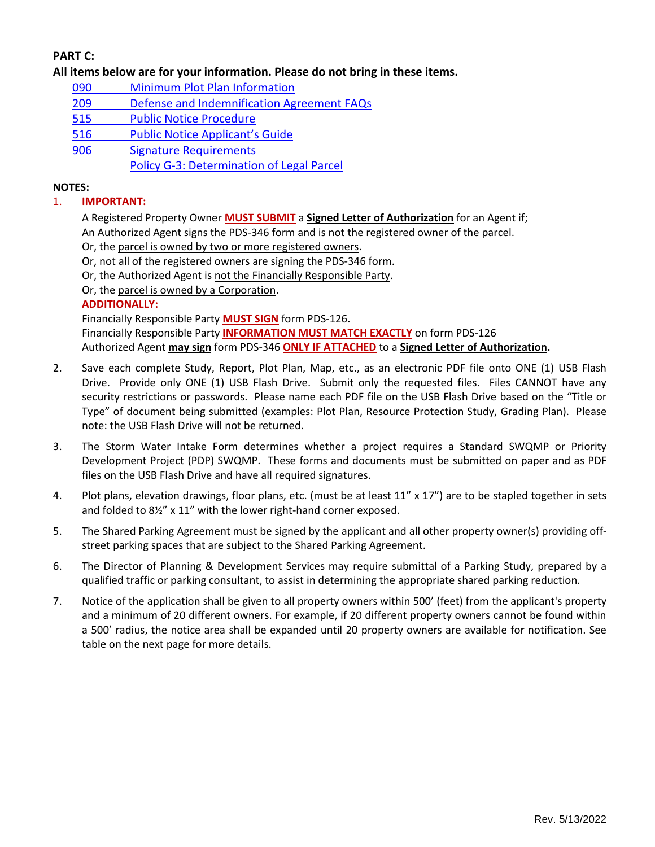# **PART C:**

**All items below are for your information. Please do not bring in these items.**

- 090 [Minimum Plot Plan Information](http://www.sdcounty.ca.gov/pds/docs/pds090.pdf)
- 209 [Defense and Indemnification Agreement FAQs](https://www.sandiegocounty.gov/content/dam/sdc/pds/zoning/formfields/PDS-PLN-209.pdf)
- [515 Public Notice Procedure](https://www.sandiegocounty.gov/content/dam/sdc/pds/zoning/formfields/PDS-PLN-515.pdf)
- [516 Public Notice Applica](https://www.sandiegocounty.gov/content/dam/sdc/pds/zoning/formfields/PDS-PLN-516.pdf)nt's Guide
- [906 Signature Requirements](https://www.sandiegocounty.gov/content/dam/sdc/pds/zoning/formfields/PDS-PLN-906.pdf)
	- [Policy G-3: Determination](http://www.sdcounty.ca.gov/pds/zoning/formfields/POLICY-G-3.pdf) of Legal Parcel

## **NOTES:**

### 1. **IMPORTANT:**

A Registered Property Owner **MUST SUBMIT** a **Signed Letter of Authorization** for an Agent if;

An Authorized Agent signs the PDS-346 form and is not the registered owner of the parcel.

- Or, the parcel is owned by two or more registered owners.
- Or, not all of the registered owners are signing the PDS-346 form.
- Or, the Authorized Agent is not the Financially Responsible Party.
- Or, the parcel is owned by a Corporation.

### **ADDITIONALLY:**

Financially Responsible Party **MUST SIGN** form PDS-126.

Financially Responsible Party **INFORMATION MUST MATCH EXACTLY** on form PDS-126 Authorized Agent **may sign** form PDS-346 **ONLY IF ATTACHED** to a **Signed Letter of Authorization.**

- 2. Save each complete Study, Report, Plot Plan, Map, etc., as an electronic PDF file onto ONE (1) USB Flash Drive. Provide only ONE (1) USB Flash Drive. Submit only the requested files. Files CANNOT have any security restrictions or passwords. Please name each PDF file on the USB Flash Drive based on the "Title or Type" of document being submitted (examples: Plot Plan, Resource Protection Study, Grading Plan). Please note: the USB Flash Drive will not be returned.
- 3. The Storm Water Intake Form determines whether a project requires a Standard SWQMP or Priority Development Project (PDP) SWQMP. These forms and documents must be submitted on paper and as PDF files on the USB Flash Drive and have all required signatures.
- 4. Plot plans, elevation drawings, floor plans, etc. (must be at least 11" x 17") are to be stapled together in sets and folded to 8½" x 11" with the lower right-hand corner exposed.
- 5. The Shared Parking Agreement must be signed by the applicant and all other property owner(s) providing offstreet parking spaces that are subject to the Shared Parking Agreement.
- 6. The Director of Planning & Development Services may require submittal of a Parking Study, prepared by a qualified traffic or parking consultant, to assist in determining the appropriate shared parking reduction.
- 7. Notice of the application shall be given to all property owners within 500' (feet) from the applicant's property and a minimum of 20 different owners. For example, if 20 different property owners cannot be found within a 500' radius, the notice area shall be expanded until 20 property owners are available for notification. See table on the next page for more details.